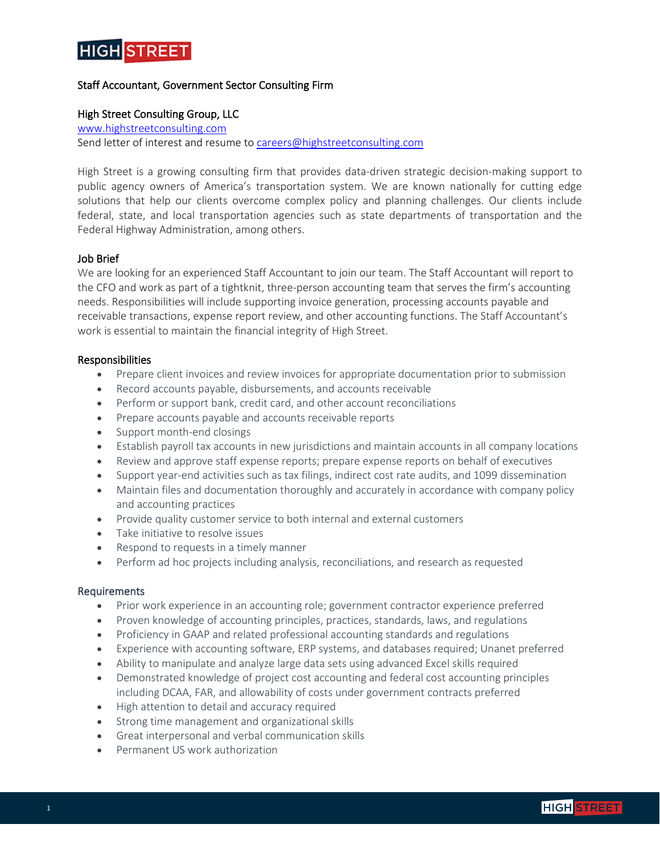

# Staff Accountant, Government Sector Consulting Firm

### High Street Consulting Group, LLC

[www.highstreetconsulting.com](http://www.highstreetconsulting.com/) Send letter of interest and resume to [careers@highstreetconsulting.com](mailto:careers@highstreetconsulting.com)

High Street is a growing consulting firm that provides data-driven strategic decision-making support to public agency owners of America's transportation system. We are known nationally for cutting edge solutions that help our clients overcome complex policy and planning challenges. Our clients include federal, state, and local transportation agencies such as state departments of transportation and the Federal Highway Administration, among others.

#### Job Brief

We are looking for an experienced Staff Accountant to join our team. The Staff Accountant will report to the CFO and work as part of a tightknit, three-person accounting team that serves the firm's accounting needs. Responsibilities will include supporting invoice generation, processing accounts payable and receivable transactions, expense report review, and other accounting functions. The Staff Accountant's work is essential to maintain the financial integrity of High Street.

#### Responsibilities

- Prepare client invoices and review invoices for appropriate documentation prior to submission
- Record accounts payable, disbursements, and accounts receivable
- Perform or support bank, credit card, and other account reconciliations
- Prepare accounts payable and accounts receivable reports
- Support month-end closings
- Establish payroll tax accounts in new jurisdictions and maintain accounts in all company locations
- Review and approve staff expense reports; prepare expense reports on behalf of executives
- Support year-end activities such as tax filings, indirect cost rate audits, and 1099 dissemination
- Maintain files and documentation thoroughly and accurately in accordance with company policy and accounting practices
- Provide quality customer service to both internal and external customers
- Take initiative to resolve issues
- Respond to requests in a timely manner
- Perform ad hoc projects including analysis, reconciliations, and research as requested

#### Requirements

- Prior work experience in an accounting role; government contractor experience preferred
- Proven knowledge of accounting principles, practices, standards, laws, and regulations
- Proficiency in GAAP and related professional accounting standards and regulations
- Experience with accounting software, ERP systems, and databases required; Unanet preferred
- Ability to manipulate and analyze large data sets using advanced Excel skills required
- Demonstrated knowledge of project cost accounting and federal cost accounting principles including DCAA, FAR, and allowability of costs under government contracts preferred
- High attention to detail and accuracy required
- Strong time management and organizational skills
- Great interpersonal and verbal communication skills
- Permanent US work authorization